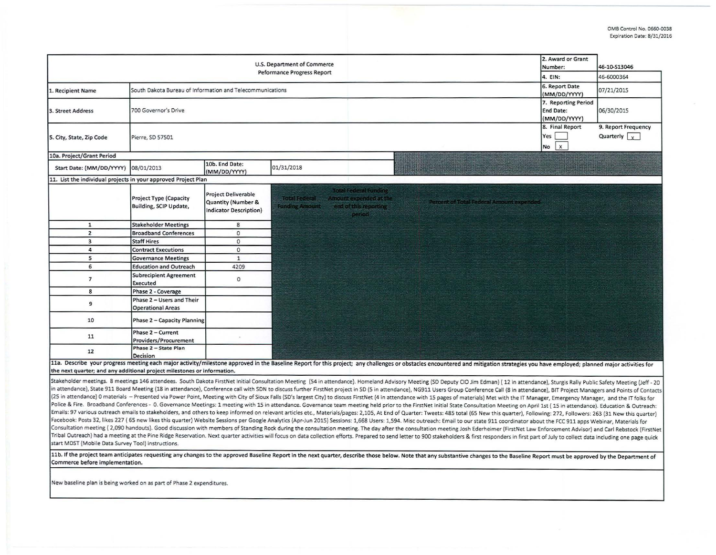|                                                                         |                                                           |                                                                                              | U.S. Department of Commerce<br><b>Peformance Progress Report</b>                                                                                                                                                                                                                                                                                                                                                                                                                                                                                                                                                                                                                                                                                                                                                                                                                                                                                                                                                                                                                                                                                                                                                                                                                                                                                                                                                                                                                                                                                                                                                                                                                                                                                                                                                                                                           |                                                                                            |                                         | 2. Award or Grant<br>Number:                        | 46-10-S13046                                |
|-------------------------------------------------------------------------|-----------------------------------------------------------|----------------------------------------------------------------------------------------------|----------------------------------------------------------------------------------------------------------------------------------------------------------------------------------------------------------------------------------------------------------------------------------------------------------------------------------------------------------------------------------------------------------------------------------------------------------------------------------------------------------------------------------------------------------------------------------------------------------------------------------------------------------------------------------------------------------------------------------------------------------------------------------------------------------------------------------------------------------------------------------------------------------------------------------------------------------------------------------------------------------------------------------------------------------------------------------------------------------------------------------------------------------------------------------------------------------------------------------------------------------------------------------------------------------------------------------------------------------------------------------------------------------------------------------------------------------------------------------------------------------------------------------------------------------------------------------------------------------------------------------------------------------------------------------------------------------------------------------------------------------------------------------------------------------------------------------------------------------------------------|--------------------------------------------------------------------------------------------|-----------------------------------------|-----------------------------------------------------|---------------------------------------------|
|                                                                         |                                                           |                                                                                              |                                                                                                                                                                                                                                                                                                                                                                                                                                                                                                                                                                                                                                                                                                                                                                                                                                                                                                                                                                                                                                                                                                                                                                                                                                                                                                                                                                                                                                                                                                                                                                                                                                                                                                                                                                                                                                                                            |                                                                                            | 4. EIN:                                 | 46-6000364                                          |                                             |
| 1. Recipient Name                                                       | South Dakota Bureau of Information and Telecommunications |                                                                                              |                                                                                                                                                                                                                                                                                                                                                                                                                                                                                                                                                                                                                                                                                                                                                                                                                                                                                                                                                                                                                                                                                                                                                                                                                                                                                                                                                                                                                                                                                                                                                                                                                                                                                                                                                                                                                                                                            |                                                                                            |                                         | 6. Report Date<br>(MM/DD/YYYY)                      | 07/21/2015                                  |
| 3. Street Address                                                       | 700 Governor's Drive                                      |                                                                                              |                                                                                                                                                                                                                                                                                                                                                                                                                                                                                                                                                                                                                                                                                                                                                                                                                                                                                                                                                                                                                                                                                                                                                                                                                                                                                                                                                                                                                                                                                                                                                                                                                                                                                                                                                                                                                                                                            |                                                                                            |                                         | 7. Reporting Period<br>End Date:<br>(MM/DD/YYYY)    | 06/30/2015                                  |
| 5. City, State, Zip Code                                                | Pierre, SD 57501                                          |                                                                                              |                                                                                                                                                                                                                                                                                                                                                                                                                                                                                                                                                                                                                                                                                                                                                                                                                                                                                                                                                                                                                                                                                                                                                                                                                                                                                                                                                                                                                                                                                                                                                                                                                                                                                                                                                                                                                                                                            |                                                                                            |                                         | 8. Final Report<br>Yes<br>$\mathbf{x}$<br><b>No</b> | 9. Report Frequency<br>Quarterly $\sqrt{y}$ |
| 10a. Project/Grant Period                                               |                                                           |                                                                                              |                                                                                                                                                                                                                                                                                                                                                                                                                                                                                                                                                                                                                                                                                                                                                                                                                                                                                                                                                                                                                                                                                                                                                                                                                                                                                                                                                                                                                                                                                                                                                                                                                                                                                                                                                                                                                                                                            |                                                                                            |                                         |                                                     |                                             |
| Start Date: (MM/DD/YYYY)                                                | 08/01/2013                                                | 10b. End Date:<br>(MM/DD/YYYY)                                                               | 01/31/2018                                                                                                                                                                                                                                                                                                                                                                                                                                                                                                                                                                                                                                                                                                                                                                                                                                                                                                                                                                                                                                                                                                                                                                                                                                                                                                                                                                                                                                                                                                                                                                                                                                                                                                                                                                                                                                                                 |                                                                                            |                                         |                                                     |                                             |
| 11. List the individual projects in your approved Project Plan          |                                                           |                                                                                              |                                                                                                                                                                                                                                                                                                                                                                                                                                                                                                                                                                                                                                                                                                                                                                                                                                                                                                                                                                                                                                                                                                                                                                                                                                                                                                                                                                                                                                                                                                                                                                                                                                                                                                                                                                                                                                                                            |                                                                                            |                                         |                                                     |                                             |
|                                                                         | <b>Project Type (Capacity</b><br>Building, SCIP Update,   | <b>Project Deliverable</b><br><b>Quantity (Number &amp;</b><br><b>Indicator Description)</b> | <b>Total Federal</b><br><b>Funding Amount</b>                                                                                                                                                                                                                                                                                                                                                                                                                                                                                                                                                                                                                                                                                                                                                                                                                                                                                                                                                                                                                                                                                                                                                                                                                                                                                                                                                                                                                                                                                                                                                                                                                                                                                                                                                                                                                              | <b>Total Federal Funding</b><br>Amount expended at the<br>end of this reporting.<br>period | ercent of Total Federal Amount expended |                                                     |                                             |
| $\mathbf{1}$                                                            | <b>Stakeholder Meetings</b>                               | 8                                                                                            |                                                                                                                                                                                                                                                                                                                                                                                                                                                                                                                                                                                                                                                                                                                                                                                                                                                                                                                                                                                                                                                                                                                                                                                                                                                                                                                                                                                                                                                                                                                                                                                                                                                                                                                                                                                                                                                                            |                                                                                            |                                         |                                                     |                                             |
| $\overline{2}$                                                          | <b>Broadband Conferences</b>                              | $\circ$                                                                                      |                                                                                                                                                                                                                                                                                                                                                                                                                                                                                                                                                                                                                                                                                                                                                                                                                                                                                                                                                                                                                                                                                                                                                                                                                                                                                                                                                                                                                                                                                                                                                                                                                                                                                                                                                                                                                                                                            |                                                                                            |                                         |                                                     |                                             |
| $\overline{\mathbf{3}}$                                                 | <b>Staff Hires</b>                                        | $\Omega$                                                                                     |                                                                                                                                                                                                                                                                                                                                                                                                                                                                                                                                                                                                                                                                                                                                                                                                                                                                                                                                                                                                                                                                                                                                                                                                                                                                                                                                                                                                                                                                                                                                                                                                                                                                                                                                                                                                                                                                            |                                                                                            |                                         |                                                     |                                             |
| 4                                                                       | <b>Contract Executions</b>                                | $\circ$                                                                                      |                                                                                                                                                                                                                                                                                                                                                                                                                                                                                                                                                                                                                                                                                                                                                                                                                                                                                                                                                                                                                                                                                                                                                                                                                                                                                                                                                                                                                                                                                                                                                                                                                                                                                                                                                                                                                                                                            |                                                                                            |                                         |                                                     |                                             |
| 5                                                                       | <b>Governance Meetings</b>                                | $\mathbf{1}$                                                                                 |                                                                                                                                                                                                                                                                                                                                                                                                                                                                                                                                                                                                                                                                                                                                                                                                                                                                                                                                                                                                                                                                                                                                                                                                                                                                                                                                                                                                                                                                                                                                                                                                                                                                                                                                                                                                                                                                            |                                                                                            |                                         |                                                     |                                             |
| 6                                                                       | <b>Education and Outreach</b>                             | 4209                                                                                         |                                                                                                                                                                                                                                                                                                                                                                                                                                                                                                                                                                                                                                                                                                                                                                                                                                                                                                                                                                                                                                                                                                                                                                                                                                                                                                                                                                                                                                                                                                                                                                                                                                                                                                                                                                                                                                                                            |                                                                                            |                                         |                                                     |                                             |
| $\overline{7}$                                                          | <b>Subrecipient Agreement</b><br><b>Executed</b>          | $\circ$                                                                                      |                                                                                                                                                                                                                                                                                                                                                                                                                                                                                                                                                                                                                                                                                                                                                                                                                                                                                                                                                                                                                                                                                                                                                                                                                                                                                                                                                                                                                                                                                                                                                                                                                                                                                                                                                                                                                                                                            |                                                                                            |                                         |                                                     |                                             |
| 8                                                                       | Phase 2 - Coverage                                        |                                                                                              |                                                                                                                                                                                                                                                                                                                                                                                                                                                                                                                                                                                                                                                                                                                                                                                                                                                                                                                                                                                                                                                                                                                                                                                                                                                                                                                                                                                                                                                                                                                                                                                                                                                                                                                                                                                                                                                                            |                                                                                            |                                         |                                                     |                                             |
| 9                                                                       | Phase 2 - Users and Their<br><b>Operational Areas</b>     |                                                                                              |                                                                                                                                                                                                                                                                                                                                                                                                                                                                                                                                                                                                                                                                                                                                                                                                                                                                                                                                                                                                                                                                                                                                                                                                                                                                                                                                                                                                                                                                                                                                                                                                                                                                                                                                                                                                                                                                            |                                                                                            |                                         |                                                     |                                             |
| 10                                                                      | Phase 2 - Capacity Planning                               |                                                                                              |                                                                                                                                                                                                                                                                                                                                                                                                                                                                                                                                                                                                                                                                                                                                                                                                                                                                                                                                                                                                                                                                                                                                                                                                                                                                                                                                                                                                                                                                                                                                                                                                                                                                                                                                                                                                                                                                            |                                                                                            |                                         |                                                     |                                             |
| 11                                                                      | Phase 2 - Current<br><b>Providers/Procurement</b>         |                                                                                              |                                                                                                                                                                                                                                                                                                                                                                                                                                                                                                                                                                                                                                                                                                                                                                                                                                                                                                                                                                                                                                                                                                                                                                                                                                                                                                                                                                                                                                                                                                                                                                                                                                                                                                                                                                                                                                                                            |                                                                                            |                                         |                                                     |                                             |
| 12                                                                      | Phase 2 - State Plan<br><b>Decision</b>                   |                                                                                              |                                                                                                                                                                                                                                                                                                                                                                                                                                                                                                                                                                                                                                                                                                                                                                                                                                                                                                                                                                                                                                                                                                                                                                                                                                                                                                                                                                                                                                                                                                                                                                                                                                                                                                                                                                                                                                                                            |                                                                                            |                                         |                                                     |                                             |
| the next quarter; and any additional project milestones or information. |                                                           |                                                                                              | 11a. Describe your progress meeting each major activity/milestone approved in the Baseline Report for this project; any challenges or obstacles encountered and mitigation strategies you have employed; planned major activit                                                                                                                                                                                                                                                                                                                                                                                                                                                                                                                                                                                                                                                                                                                                                                                                                                                                                                                                                                                                                                                                                                                                                                                                                                                                                                                                                                                                                                                                                                                                                                                                                                             |                                                                                            |                                         |                                                     |                                             |
| start MDST (Mobile Data Survey Tool) instructions.                      |                                                           |                                                                                              | Stakeholder meetings. 8 meetings 146 attendees. South Dakota FirstNet Initial Consultation Meeting (54 in attendance). Homeland Advisory Meeting (SD Deputy CIO Jim Edman) (12 in attendance), Sturgis Rally Public Safety Mee<br>in attendance), State 911 Board Meeting (18 in attendance), Conference call with SDN to discuss further FirstNet project in SD (5 in attendance), NG911 Users Group Conference Call (8 in attendance), BIT Project Managers an<br>(25 in attendance) 0 materials - Presented via Power Point, Meeting with City of Sioux Falls (SD's largest City) to discuss FirstNet (4 in attendance with 15 pages of materials) Met with the IT Manager, Emergency Manager,<br>Police & Fire. Broadband Conferences - 0. Governance Meetings: 1 meeting with 15 in attendance. Governance team meeting held prior to the FirstNet Initial State Consultation Meeting on April 1st (15 in attendance). Educati<br>Emails: 97 various outreach emails to stakeholders, and others to keep informed on relevant articles etc., Materials/pages: 2,105, At End of Quarter: Tweets: 485 total (65 New this quarter), Following: 272, Followers: 263<br>Facebook: Posts 32, likes 227 (65 new likes this quarter) Website Sessions per Google Analytics (Apr-Jun 2015) Sessions: 1,668 Users: 1,594. Misc outreach: Email to our state 911 coordinator about the FCC 911 apps Webinar,<br>Consultation meeting (2,090 handouts). Good discussion with members of Standing Rock during the consultation meeting. The day after the consultation meeting Josh Ederheimer (FirstNet Law Enforcement Advisor) and Carl Rebst<br>Tribal Outreach) had a meeting at the Pine Ridge Reservation. Next quarter activities will focus on data collection efforts. Prepared to send letter to 900 stakeholders & first responders in first part of July to collect d |                                                                                            |                                         |                                                     |                                             |
| Commerce before implementation.                                         |                                                           |                                                                                              | 11b. If the project team anticipates requesting any changes to the approved Baseline Report in the next quarter, describe those below. Note that any substantive changes to the Baseline Report must be approved by the Depart                                                                                                                                                                                                                                                                                                                                                                                                                                                                                                                                                                                                                                                                                                                                                                                                                                                                                                                                                                                                                                                                                                                                                                                                                                                                                                                                                                                                                                                                                                                                                                                                                                             |                                                                                            |                                         |                                                     |                                             |
| New baseline plan is being worked on as part of Phase 2 expenditures.   |                                                           |                                                                                              |                                                                                                                                                                                                                                                                                                                                                                                                                                                                                                                                                                                                                                                                                                                                                                                                                                                                                                                                                                                                                                                                                                                                                                                                                                                                                                                                                                                                                                                                                                                                                                                                                                                                                                                                                                                                                                                                            |                                                                                            |                                         |                                                     |                                             |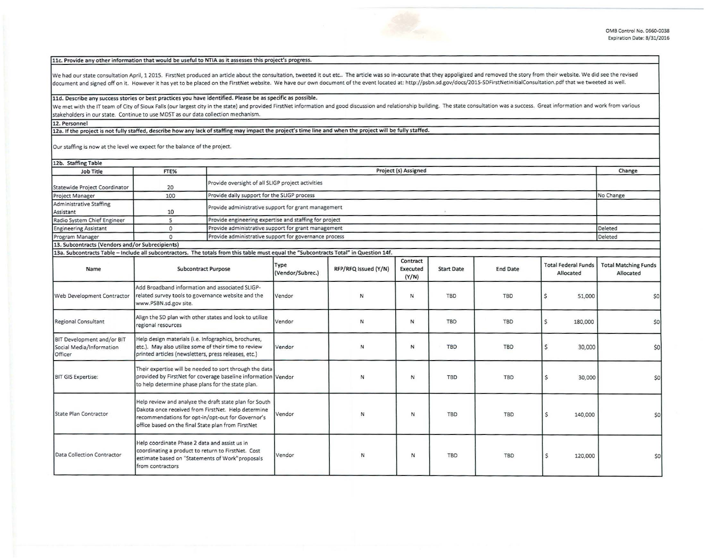## llc. Provide any other information that would be useful to NTIA as it assesses this project's progress.

We had our state consultation April, 1 2015. FirstNet produced an article about the consultation, tweeted it out etc.. The article was so in-accurate that they appoligized and removed the story from their website. We did s document and signed off on it. However it has yet to be placed on the FirstNet website. We have our own document of the event located at: http://psbn.sd.gov/docs/2015-SDFirstNetInitialConsultation.pdf that we tweeted as we

## 11d. Describe any success stories or best practices you have identified. Please be as specific as possible.

We met with the IT team of City of Sioux Falls (our largest city in the state) and provided FirstNet information and good discussion and relationship building. The state consultation was a success. Great information and wo stakeholders in our state. Continue to use MDST as our data collection mechanism.

## 12. Personnel

12a. If the project is not fully staffed, describe how any lack of staffing may impact the project's time line and when the project will be fully staffed.

Our staffing is now at the level we expect for the balance of the project.

| 12b. Staffing Table                                                                                                                   |                                                                                                                                                                               |                                                                                                                                                                   |                                                     |                      |                               |                   |                 |                                         | Change                                   |  |
|---------------------------------------------------------------------------------------------------------------------------------------|-------------------------------------------------------------------------------------------------------------------------------------------------------------------------------|-------------------------------------------------------------------------------------------------------------------------------------------------------------------|-----------------------------------------------------|----------------------|-------------------------------|-------------------|-----------------|-----------------------------------------|------------------------------------------|--|
| Job Title                                                                                                                             | FTE%                                                                                                                                                                          |                                                                                                                                                                   | Project (s) Assigned                                |                      |                               |                   |                 |                                         |                                          |  |
| Statewide Project Coordinator                                                                                                         | 20                                                                                                                                                                            |                                                                                                                                                                   | Provide oversight of all SLIGP project activities   |                      |                               |                   |                 |                                         |                                          |  |
| Project Manager                                                                                                                       | 100                                                                                                                                                                           | Provide daily support for the SLIGP process                                                                                                                       |                                                     |                      |                               |                   |                 |                                         | No Change                                |  |
| Administrative Staffing<br>Assistant                                                                                                  | 10                                                                                                                                                                            |                                                                                                                                                                   | Provide administrative support for grant management |                      |                               |                   |                 |                                         |                                          |  |
| Radio System Chief Engineer                                                                                                           | 5                                                                                                                                                                             | Provide engineering expertise and staffing for project                                                                                                            |                                                     |                      |                               |                   |                 |                                         |                                          |  |
| <b>Engineering Assistant</b>                                                                                                          | $\Omega$                                                                                                                                                                      | Provide administrative support for grant management                                                                                                               |                                                     |                      |                               |                   |                 |                                         | Deleted                                  |  |
| Program Manager                                                                                                                       | $\Omega$                                                                                                                                                                      | Provide administrative support for governance process                                                                                                             |                                                     |                      |                               |                   |                 |                                         | Deleted                                  |  |
| 13. Subcontracts (Vendors and/or Subrecipients)                                                                                       |                                                                                                                                                                               |                                                                                                                                                                   |                                                     |                      |                               |                   |                 |                                         |                                          |  |
| 13a. Subcontracts Table - Include all subcontractors. The totals from this table must equal the "Subcontracts Total" in Question 14f. |                                                                                                                                                                               |                                                                                                                                                                   |                                                     |                      |                               |                   |                 |                                         |                                          |  |
| Name                                                                                                                                  | <b>Subcontract Purpose</b>                                                                                                                                                    |                                                                                                                                                                   | Type<br>(Vendor/Subrec.)                            | RFP/RFQ Issued (Y/N) | Contract<br>Executed<br>(Y/N) | <b>Start Date</b> | <b>End Date</b> | <b>Total Federal Funds</b><br>Allocated | <b>Total Matching Funds</b><br>Allocated |  |
| Web Development Contractor                                                                                                            | Add Broadband information and associated SLIGP-<br>related survey tools to governance website and the<br>www.PSBN.sd.gov site.                                                |                                                                                                                                                                   | Vendor                                              | N                    | N                             | <b>TBD</b>        | <b>TBD</b>      | 51,000<br>S                             | \$0                                      |  |
| <b>Regional Consultant</b>                                                                                                            | Align the SD plan with other states and look to utilize<br>regional resources                                                                                                 |                                                                                                                                                                   | Vendor                                              | ${\sf N}$            | N                             | <b>TBD</b>        | <b>TBD</b>      | \$<br>180,000                           | \$0                                      |  |
| BIT Development and/or BIT<br>Social Media/Information<br>Officer                                                                     | Help design materials (i.e. Infographics, brochures,<br>etc.). May also utilize some of their time to review<br>printed articles (newsletters, press releases, etc.)          |                                                                                                                                                                   | Vendor                                              | ${\sf N}$            | N                             | <b>TBD</b>        | <b>TBD</b>      | $\mathsf{S}$<br>30,000                  | \$0                                      |  |
| <b>BIT GIS Expertise:</b>                                                                                                             | Their expertise will be needed to sort through the data<br>provided by FirstNet for coverage baseline information Vendor<br>to help determine phase plans for the state plan. |                                                                                                                                                                   |                                                     | N                    | N                             | <b>TBD</b>        | <b>TBD</b>      | \$<br>30,000                            | \$0                                      |  |
| <b>State Plan Contractor</b>                                                                                                          | office based on the final State plan from FirstNet                                                                                                                            | Help review and analyze the draft state plan for South<br>Dakota once received from FirstNet. Help determine<br>recommendations for opt-in/opt-out for Governor's | Vendor                                              | N                    | N                             | TBD               | <b>TBD</b>      | \$<br>140,000                           | \$0                                      |  |
| Data Collection Contractor                                                                                                            | Help coordinate Phase 2 data and assist us in<br>coordinating a product to return to FirstNet. Cost<br>estimate based on "Statements of Work"proposals<br>from contractors    |                                                                                                                                                                   | Vendor                                              | N                    | $\mathsf N$                   | <b>TBD</b>        | <b>TBD</b>      | Ś<br>120,000                            | \$0                                      |  |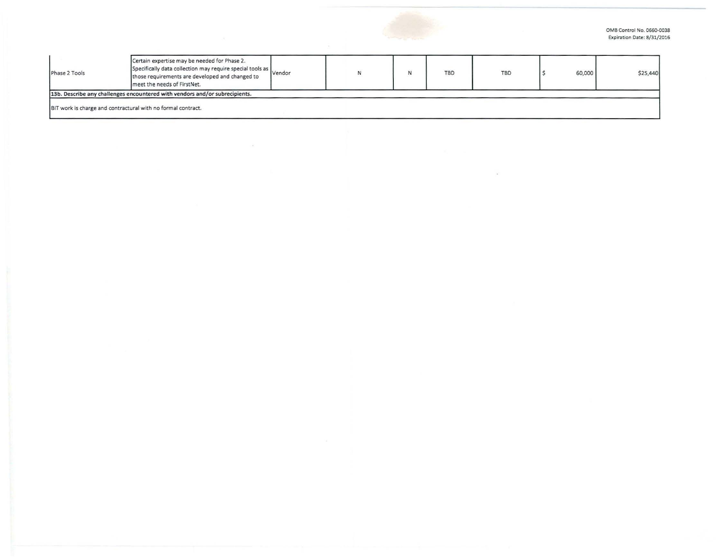OMB Control No. 0660-0038 Expiration Date: 8/31/2016

| Phase 2 Tools | Certain expertise may be needed for Phase 2.<br>Specifically data collection may require special tools as vendor<br>those requirements are developed and changed to<br>meet the needs of FirstNet. |  | N | <b>TBD</b> | TBD | 60,000 | \$25,440 |
|---------------|----------------------------------------------------------------------------------------------------------------------------------------------------------------------------------------------------|--|---|------------|-----|--------|----------|
|               | 13b. Describe any challenges encountered with vendors and/or subrecipients.                                                                                                                        |  |   |            |     |        |          |
|               | BIT work is charge and contractural with no formal contract.                                                                                                                                       |  |   |            |     |        |          |

 $\omega$ 

 $\sim$